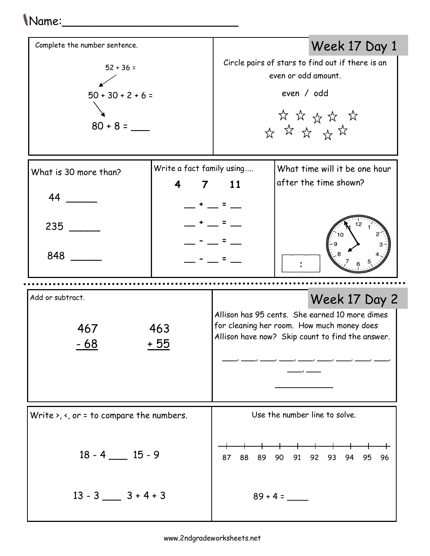## Name:\_\_\_\_\_\_\_\_\_\_\_\_\_\_\_\_\_\_\_\_\_\_\_\_\_

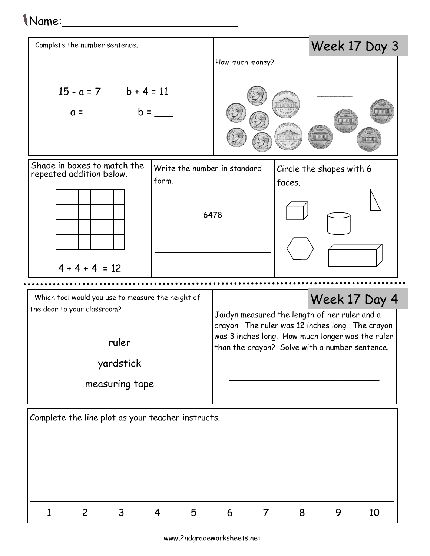## Name:\_\_\_\_\_\_\_\_\_\_\_\_\_\_\_\_\_\_\_\_\_\_\_\_\_



www.2ndgradeworksheets.net